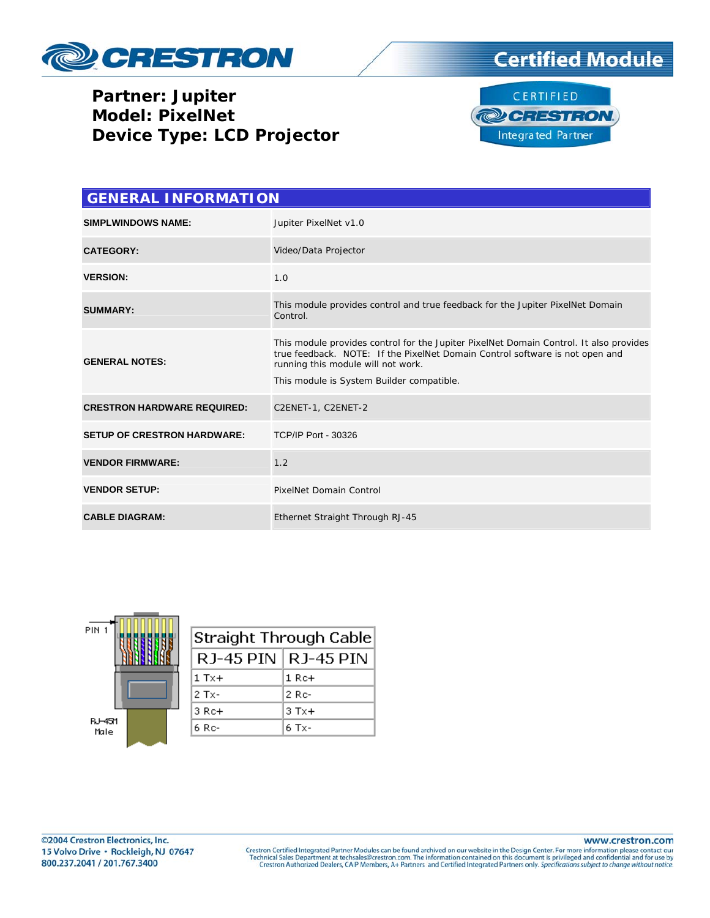





| <b>GENERAL INFORMATION</b>         |                                                                                                                                                                                                                                                           |  |  |
|------------------------------------|-----------------------------------------------------------------------------------------------------------------------------------------------------------------------------------------------------------------------------------------------------------|--|--|
| <b>SIMPLWINDOWS NAME:</b>          | Jupiter PixelNet v1.0                                                                                                                                                                                                                                     |  |  |
| <b>CATEGORY:</b>                   | Video/Data Projector                                                                                                                                                                                                                                      |  |  |
| <b>VERSION:</b>                    | 1.0                                                                                                                                                                                                                                                       |  |  |
| <b>SUMMARY:</b>                    | This module provides control and true feedback for the Jupiter PixelNet Domain<br>Control.                                                                                                                                                                |  |  |
| <b>GENERAL NOTES:</b>              | This module provides control for the Jupiter PixelNet Domain Control. It also provides<br>true feedback. NOTE: If the PixelNet Domain Control software is not open and<br>running this module will not work.<br>This module is System Builder compatible. |  |  |
| <b>CRESTRON HARDWARE REQUIRED:</b> | C2ENET-1, C2ENET-2                                                                                                                                                                                                                                        |  |  |
| <b>SETUP OF CRESTRON HARDWARE:</b> | <b>TCP/IP Port - 30326</b>                                                                                                                                                                                                                                |  |  |
| <b>VENDOR FIRMWARE:</b>            | 1.2                                                                                                                                                                                                                                                       |  |  |
| <b>VENDOR SETUP:</b>               | <b>PixelNet Domain Control</b>                                                                                                                                                                                                                            |  |  |
| <b>CABLE DIAGRAM:</b>              | Ethernet Straight Through RJ-45                                                                                                                                                                                                                           |  |  |

| PIN <sub>1</sub>      |  |
|-----------------------|--|
| <b>BJ-451</b><br>Male |  |

| Straight Through Cable |                       |  |  |
|------------------------|-----------------------|--|--|
|                        | RJ-45 PIN   RJ-45 PIN |  |  |
| $1$ Tx+                | 1 Re+                 |  |  |
| 2 Tx-                  | 2 Rc-                 |  |  |
| $3 \nRc+$              | $3$ Tx+               |  |  |
| 6 Rc-                  | 6 Tx-                 |  |  |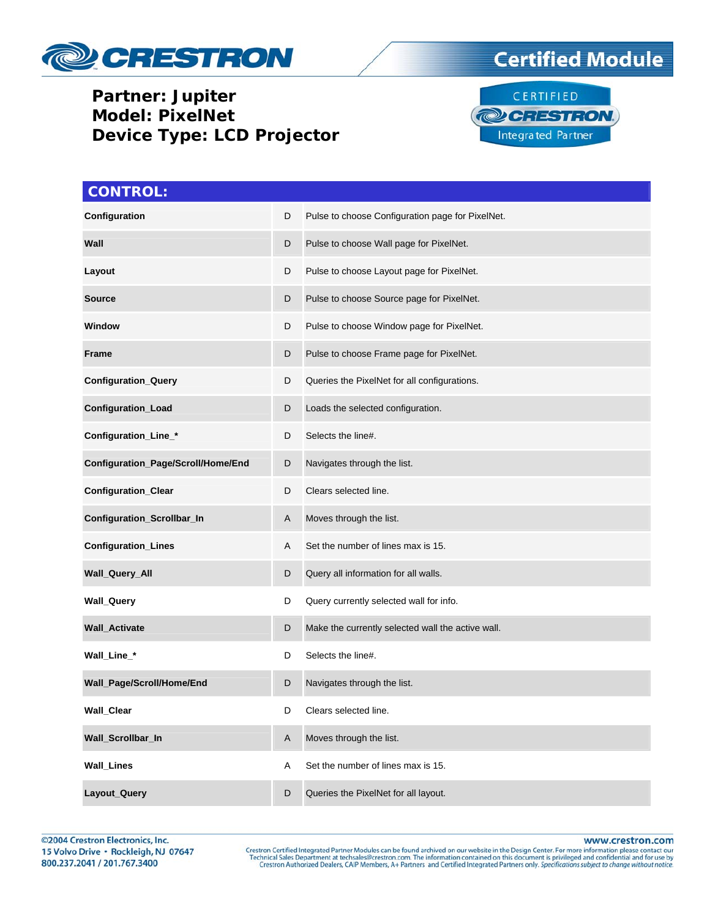





| <b>CONTROL:</b>                    |   |                                                   |
|------------------------------------|---|---------------------------------------------------|
| Configuration                      | D | Pulse to choose Configuration page for PixelNet.  |
| Wall                               | D | Pulse to choose Wall page for PixelNet.           |
| Layout                             | D | Pulse to choose Layout page for PixelNet.         |
| <b>Source</b>                      | D | Pulse to choose Source page for PixelNet.         |
| Window                             | D | Pulse to choose Window page for PixelNet.         |
| <b>Frame</b>                       | D | Pulse to choose Frame page for PixelNet.          |
| <b>Configuration_Query</b>         | D | Queries the PixelNet for all configurations.      |
| Configuration_Load                 | D | Loads the selected configuration.                 |
| Configuration_Line_*               | D | Selects the line#.                                |
| Configuration_Page/Scroll/Home/End | D | Navigates through the list.                       |
| <b>Configuration_Clear</b>         | D | Clears selected line.                             |
| Configuration_Scrollbar_In         | A | Moves through the list.                           |
| Configuration_Lines                | Α | Set the number of lines max is 15.                |
| Wall_Query_All                     | D | Query all information for all walls.              |
| <b>Wall_Query</b>                  | D | Query currently selected wall for info.           |
| Wall_Activate                      | D | Make the currently selected wall the active wall. |
| Wall_Line_*                        | D | Selects the line#.                                |
| Wall_Page/Scroll/Home/End          | D | Navigates through the list.                       |
| <b>Wall_Clear</b>                  | D | Clears selected line.                             |
| Wall_Scrollbar_In                  | A | Moves through the list.                           |
| <b>Wall_Lines</b>                  | Α | Set the number of lines max is 15.                |
| Layout_Query                       | D | Queries the PixelNet for all layout.              |

www.crestron.com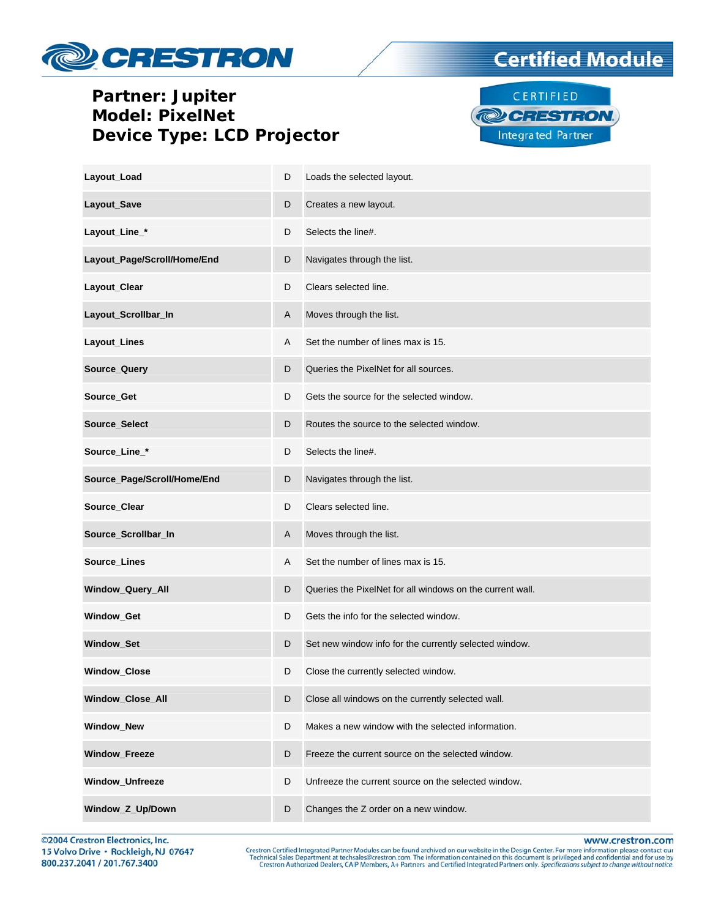





| Layout_Load                 | D | Loads the selected layout.                                |
|-----------------------------|---|-----------------------------------------------------------|
| Layout_Save                 | D | Creates a new layout.                                     |
| Layout_Line_*               | D | Selects the line#.                                        |
| Layout_Page/Scroll/Home/End | D | Navigates through the list.                               |
| Layout_Clear                | D | Clears selected line.                                     |
| Layout_Scrollbar_In         | A | Moves through the list.                                   |
| Layout_Lines                | Α | Set the number of lines max is 15.                        |
| Source_Query                | D | Queries the PixelNet for all sources.                     |
| Source_Get                  | D | Gets the source for the selected window.                  |
| Source_Select               | D | Routes the source to the selected window.                 |
| Source_Line_*               | D | Selects the line#.                                        |
| Source_Page/Scroll/Home/End | D | Navigates through the list.                               |
| Source_Clear                | D | Clears selected line.                                     |
| Source_Scrollbar_In         | A | Moves through the list.                                   |
| Source_Lines                | Α | Set the number of lines max is 15.                        |
| Window_Query_All            | D | Queries the PixelNet for all windows on the current wall. |
| Window_Get                  | D | Gets the info for the selected window.                    |
| Window_Set                  | D | Set new window info for the currently selected window.    |
| Window_Close                | D | Close the currently selected window.                      |
| Window_Close_All            | D | Close all windows on the currently selected wall.         |
| Window_New                  | D | Makes a new window with the selected information.         |
| <b>Window Freeze</b>        | D | Freeze the current source on the selected window.         |
| Window_Unfreeze             | D | Unfreeze the current source on the selected window.       |
| Window_Z_Up/Down            | D | Changes the Z order on a new window.                      |

©2004 Crestron Electronics, Inc. 15 Volvo Drive · Rockleigh, NJ 07647 800.237.2041 / 201.767.3400

www.crestron.com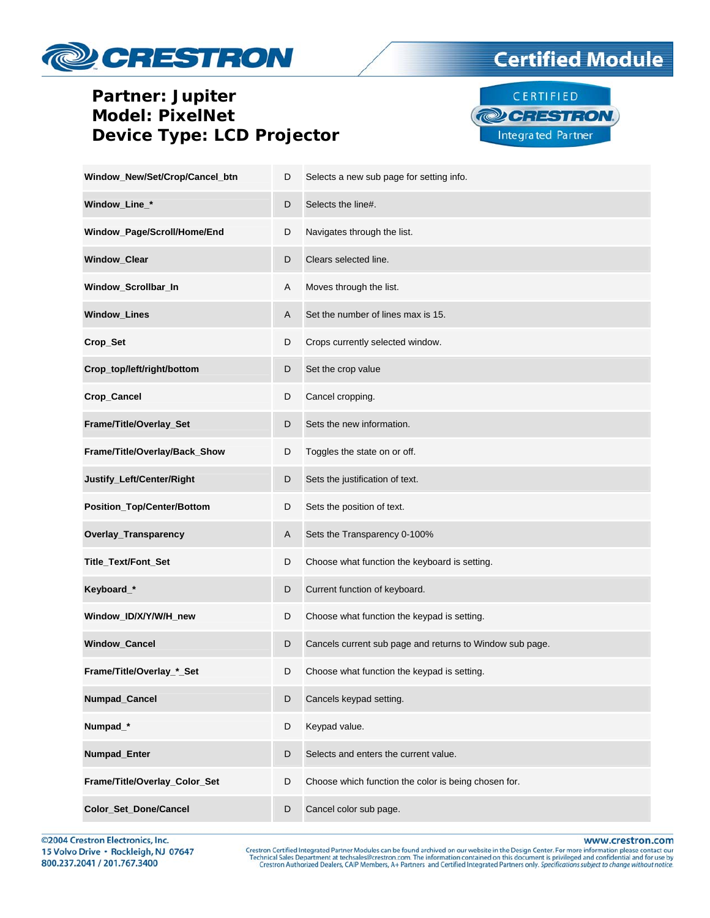



**Certified Module** 

| Window_New/Set/Crop/Cancel_btn    | D | Selects a new sub page for setting info.                 |
|-----------------------------------|---|----------------------------------------------------------|
| Window_Line_*                     | D | Selects the line#.                                       |
| Window_Page/Scroll/Home/End       | D | Navigates through the list.                              |
| Window_Clear                      | D | Clears selected line.                                    |
| Window_Scrollbar_In               | A | Moves through the list.                                  |
| <b>Window_Lines</b>               | A | Set the number of lines max is 15.                       |
| Crop_Set                          | D | Crops currently selected window.                         |
| Crop_top/left/right/bottom        | D | Set the crop value                                       |
| Crop_Cancel                       | D | Cancel cropping.                                         |
| Frame/Title/Overlay_Set           | D | Sets the new information.                                |
| Frame/Title/Overlay/Back_Show     | D | Toggles the state on or off.                             |
| Justify_Left/Center/Right         | D | Sets the justification of text.                          |
| <b>Position_Top/Center/Bottom</b> | D | Sets the position of text.                               |
| Overlay_Transparency              | A | Sets the Transparency 0-100%                             |
| Title_Text/Font_Set               | D | Choose what function the keyboard is setting.            |
| Keyboard_*                        | D | Current function of keyboard.                            |
| Window_ID/X/Y/W/H_new             | D | Choose what function the keypad is setting.              |
| Window_Cancel                     | D | Cancels current sub page and returns to Window sub page. |
| Frame/Title/Overlay_*_Set         | D | Choose what function the keypad is setting.              |
| Numpad_Cancel                     | D | Cancels keypad setting.                                  |
| Numpad_*                          | D | Keypad value.                                            |
| Numpad_Enter                      | D | Selects and enters the current value.                    |
| Frame/Title/Overlay_Color_Set     | D | Choose which function the color is being chosen for.     |
| Color_Set_Done/Cancel             | D | Cancel color sub page.                                   |

©2004 Crestron Electronics, Inc. 15 Volvo Drive · Rockleigh, NJ 07647 800.237.2041 / 201.767.3400

www.crestron.com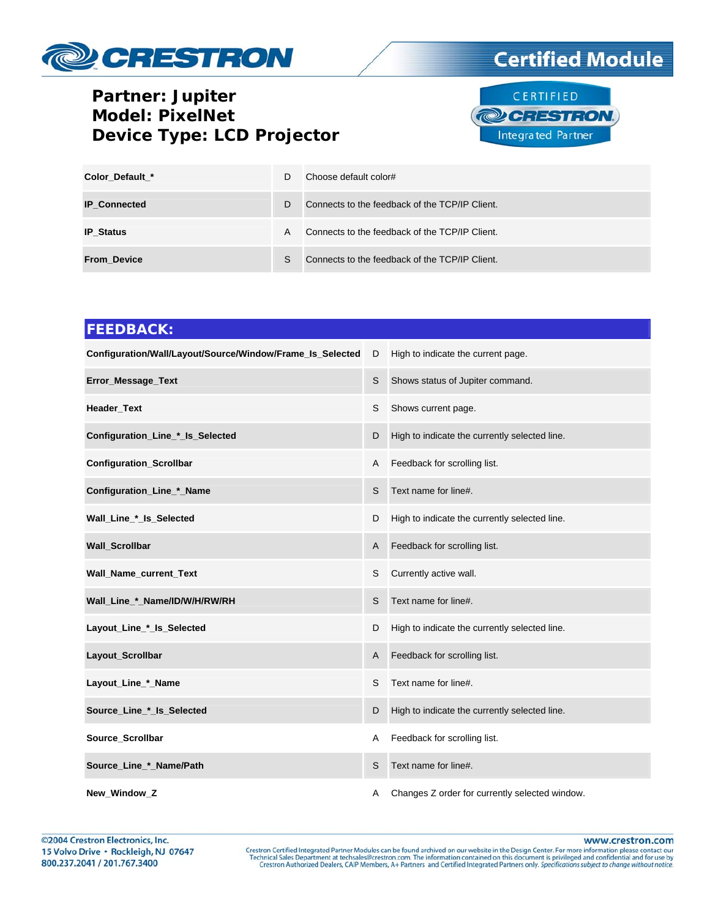





| Color Default *     | D. | Choose default color#                          |
|---------------------|----|------------------------------------------------|
| <b>IP Connected</b> | D. | Connects to the feedback of the TCP/IP Client. |
| <b>IP Status</b>    | A  | Connects to the feedback of the TCP/IP Client. |
| <b>From Device</b>  | S. | Connects to the feedback of the TCP/IP Client. |

# **FEEDBACK: Configuration/Wall/Layout/Source/Window/Frame\_Is\_Selected** D High to indicate the current page. **Error\_Message\_Text S** Shows status of Jupiter command. **Header\_Text S** Shows current page. **Configuration\_Line\_\*\_Is\_Selected**  D High to indicate the currently selected line. **Configuration\_Scrollbar A** Feedback for scrolling list. **Configuration Line \* Name**  S Text name for line#. **Wall\_Line\_\*\_Is\_Selected**  D High to indicate the currently selected line. **Wall\_Scrollbar A** Feedback for scrolling list. **Wall\_Name\_current\_Text S** Currently active wall. **Wall\_Line\_\*\_Name/ID/W/H/RW/RH**  S Text name for line#. **Layout Line \* Is Selected**  D High to indicate the currently selected line. **Layout\_Scrollbar A** Feedback for scrolling list. Layout\_Line\_\*\_Name **S** Text name for line#. **Source Line \* Is Selected**  D High to indicate the currently selected line. **Source\_Scrollbar A** Feedback for scrolling list. **Source\_Line\_\*\_Name/Path S** Text name for line#. **New\_Window\_Z A** Changes Z order for currently selected window.

www.crestron.com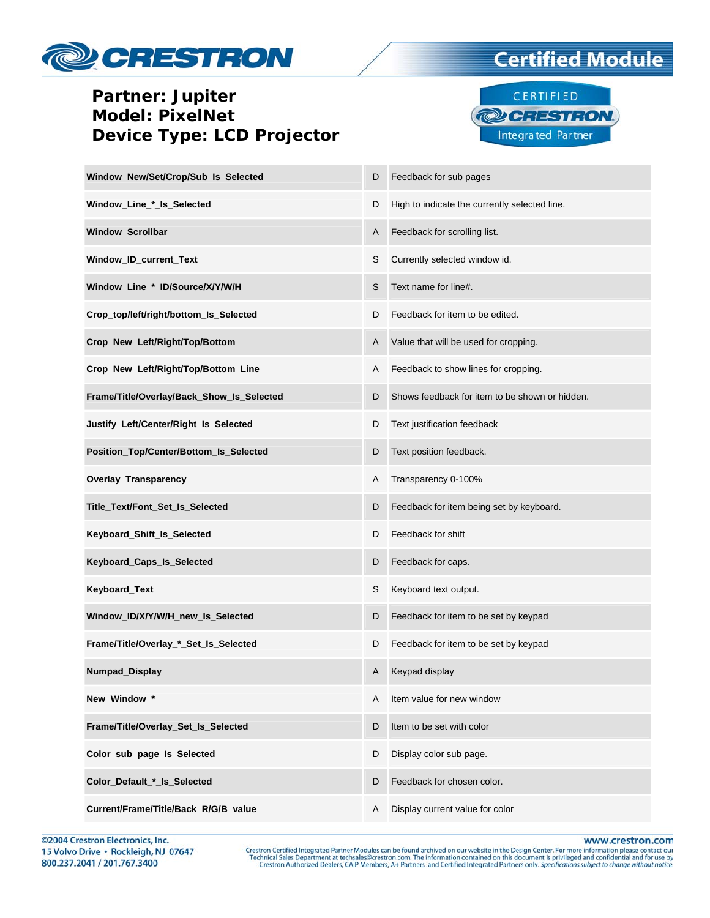





| Window_New/Set/Crop/Sub_Is_Selected       | D | Feedback for sub pages                         |
|-------------------------------------------|---|------------------------------------------------|
| Window_Line_*_Is_Selected                 | D | High to indicate the currently selected line.  |
| <b>Window Scrollbar</b>                   | A | Feedback for scrolling list.                   |
| Window_ID_current_Text                    | S | Currently selected window id.                  |
| Window_Line_*_ID/Source/X/Y/W/H           | S | Text name for line#.                           |
| Crop_top/left/right/bottom_Is_Selected    | D | Feedback for item to be edited.                |
| Crop_New_Left/Right/Top/Bottom            | A | Value that will be used for cropping.          |
| Crop_New_Left/Right/Top/Bottom_Line       | Α | Feedback to show lines for cropping.           |
| Frame/Title/Overlay/Back_Show_Is_Selected | D | Shows feedback for item to be shown or hidden. |
| Justify_Left/Center/Right_Is_Selected     | D | Text justification feedback                    |
| Position_Top/Center/Bottom_Is_Selected    | D | Text position feedback.                        |
| Overlay_Transparency                      | A | Transparency 0-100%                            |
| Title_Text/Font_Set_Is_Selected           | D | Feedback for item being set by keyboard.       |
| Keyboard_Shift_Is_Selected                | D | Feedback for shift                             |
| Keyboard_Caps_Is_Selected                 | D | Feedback for caps.                             |
| Keyboard_Text                             | S | Keyboard text output.                          |
| Window_ID/X/Y/W/H_new_Is_Selected         | D | Feedback for item to be set by keypad          |
| Frame/Title/Overlay_*_Set_Is_Selected     | D | Feedback for item to be set by keypad          |
| Numpad_Display                            | A | Keypad display                                 |
| New Window *                              | A | Item value for new window                      |
| Frame/Title/Overlay_Set_Is_Selected       | D | Item to be set with color                      |
| Color_sub_page_ls_Selected                | D | Display color sub page.                        |
| Color_Default_*_Is_Selected               | D | Feedback for chosen color.                     |
| Current/Frame/Title/Back_R/G/B_value      | A | Display current value for color                |

www.crestron.com